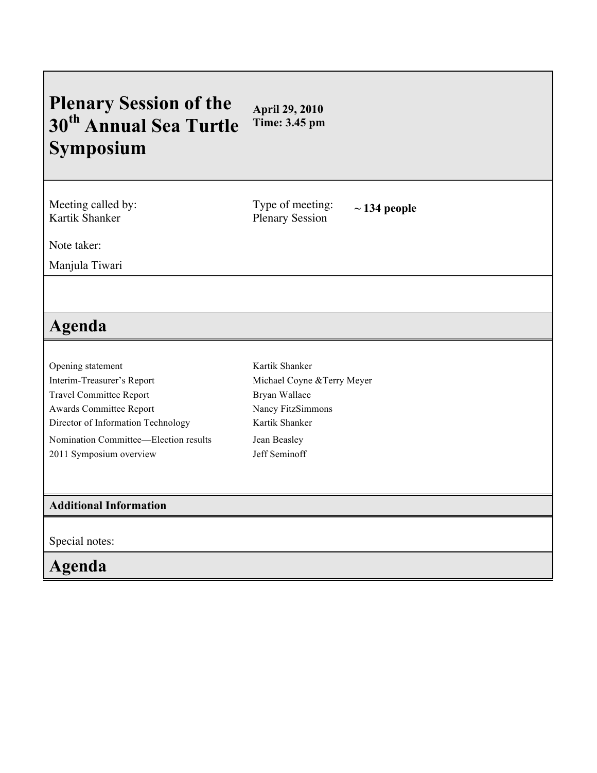## **Plenary Session of the 30th Annual Sea Turtle Symposium April 29, 2010 Time: 3.45 pm**

Meeting called by: Kartik Shanker

Type of meeting: Type of meeting:  $\sim$  134 people<br>Plenary Session

Note taker:

Manjula Tiwari

## **Agenda**

Opening statement Interim-Treasurer's Report Travel Committee Report Awards Committee Report Director of Information Technology Nomination Committee—Election results 2011 Symposium overview

Kartik Shanker Michael Coyne &Terry Meyer Bryan Wallace Nancy FitzSimmons Kartik Shanker Jean Beasley Jeff Seminoff

## **Additional Information**

Special notes:

## **Agenda**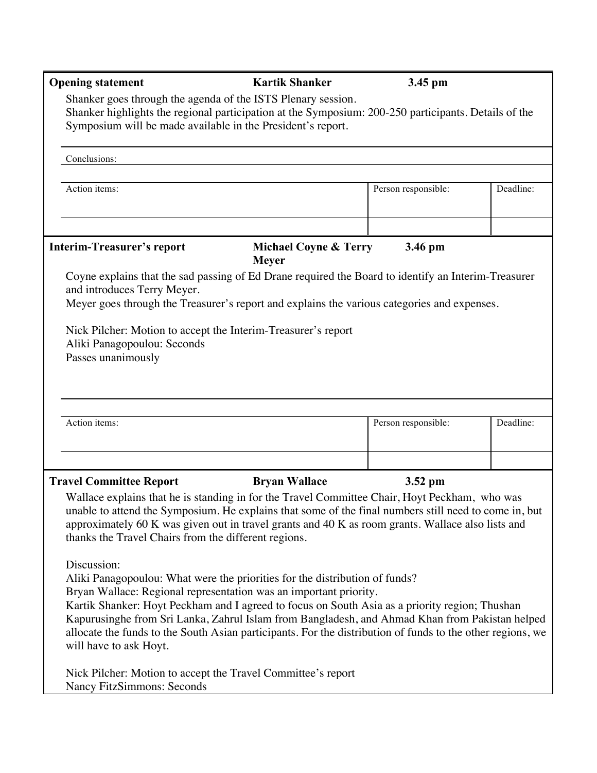| <b>Opening statement</b>                                                                                                                                                                                                                                                                                                                                                                                                                                                                                    | <b>Kartik Shanker</b>                            | 3.45 pm             |           |  |  |
|-------------------------------------------------------------------------------------------------------------------------------------------------------------------------------------------------------------------------------------------------------------------------------------------------------------------------------------------------------------------------------------------------------------------------------------------------------------------------------------------------------------|--------------------------------------------------|---------------------|-----------|--|--|
| Shanker goes through the agenda of the ISTS Plenary session.<br>Shanker highlights the regional participation at the Symposium: 200-250 participants. Details of the<br>Symposium will be made available in the President's report.                                                                                                                                                                                                                                                                         |                                                  |                     |           |  |  |
| Conclusions:                                                                                                                                                                                                                                                                                                                                                                                                                                                                                                |                                                  |                     |           |  |  |
| Action items:                                                                                                                                                                                                                                                                                                                                                                                                                                                                                               |                                                  | Person responsible: | Deadline: |  |  |
| <b>Interim-Treasurer's report</b>                                                                                                                                                                                                                                                                                                                                                                                                                                                                           | <b>Michael Coyne &amp; Terry</b><br><b>Meyer</b> | 3.46 pm             |           |  |  |
| Coyne explains that the sad passing of Ed Drane required the Board to identify an Interim-Treasurer<br>and introduces Terry Meyer.<br>Meyer goes through the Treasurer's report and explains the various categories and expenses.                                                                                                                                                                                                                                                                           |                                                  |                     |           |  |  |
| Nick Pilcher: Motion to accept the Interim-Treasurer's report<br>Aliki Panagopoulou: Seconds<br>Passes unanimously                                                                                                                                                                                                                                                                                                                                                                                          |                                                  |                     |           |  |  |
| Action items:                                                                                                                                                                                                                                                                                                                                                                                                                                                                                               |                                                  | Person responsible: | Deadline: |  |  |
| <b>Travel Committee Report</b>                                                                                                                                                                                                                                                                                                                                                                                                                                                                              | <b>Bryan Wallace</b>                             | $3.52$ pm           |           |  |  |
| Wallace explains that he is standing in for the Travel Committee Chair, Hoyt Peckham, who was<br>unable to attend the Symposium. He explains that some of the final numbers still need to come in, but<br>approximately 60 K was given out in travel grants and 40 K as room grants. Wallace also lists and<br>thanks the Travel Chairs from the different regions.                                                                                                                                         |                                                  |                     |           |  |  |
| Discussion:<br>Aliki Panagopoulou: What were the priorities for the distribution of funds?<br>Bryan Wallace: Regional representation was an important priority.<br>Kartik Shanker: Hoyt Peckham and I agreed to focus on South Asia as a priority region; Thushan<br>Kapurusinghe from Sri Lanka, Zahrul Islam from Bangladesh, and Ahmad Khan from Pakistan helped<br>allocate the funds to the South Asian participants. For the distribution of funds to the other regions, we<br>will have to ask Hoyt. |                                                  |                     |           |  |  |
| Nick Pilcher: Motion to accept the Travel Committee's report<br><b>Nancy FitzSimmons: Seconds</b>                                                                                                                                                                                                                                                                                                                                                                                                           |                                                  |                     |           |  |  |

F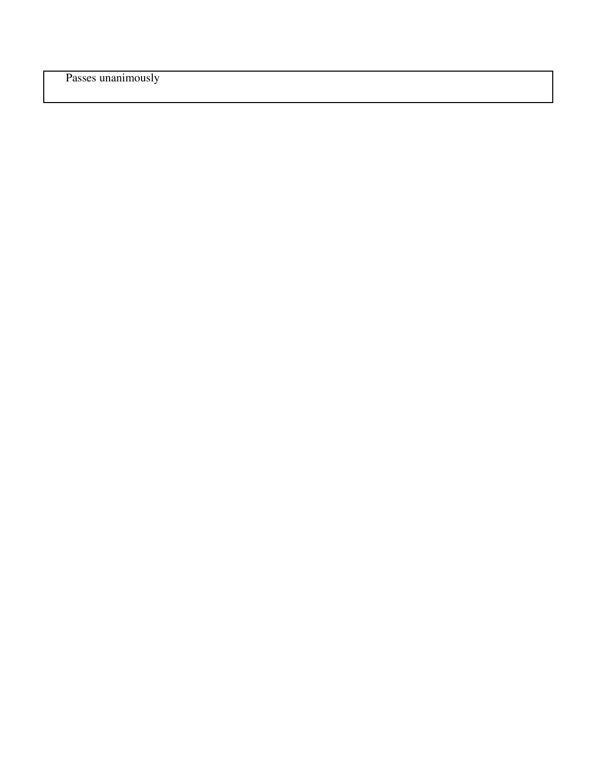Passes unanimously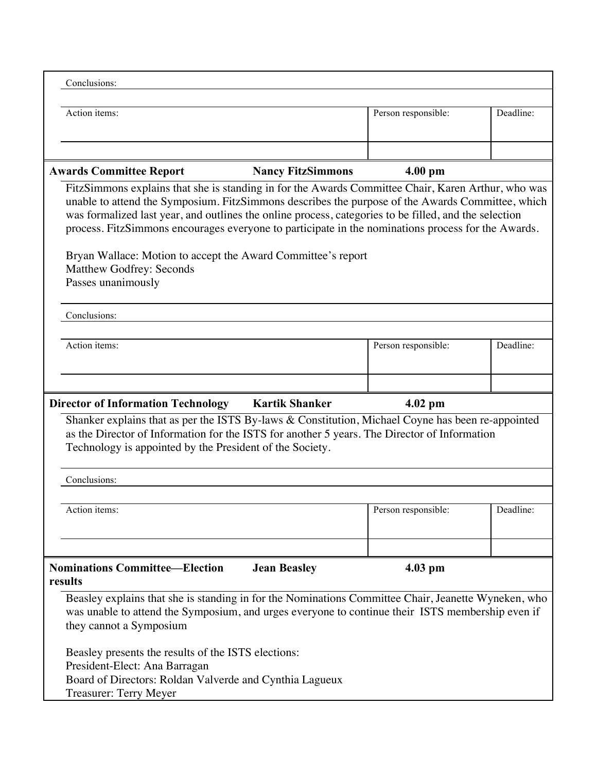| Conclusions:                                                                                                                |                     |           |  |  |  |
|-----------------------------------------------------------------------------------------------------------------------------|---------------------|-----------|--|--|--|
|                                                                                                                             |                     |           |  |  |  |
| Action items:                                                                                                               | Person responsible: | Deadline: |  |  |  |
|                                                                                                                             |                     |           |  |  |  |
|                                                                                                                             |                     |           |  |  |  |
| <b>Awards Committee Report</b><br><b>Nancy FitzSimmons</b>                                                                  | $4.00 \text{ pm}$   |           |  |  |  |
| FitzSimmons explains that she is standing in for the Awards Committee Chair, Karen Arthur, who was                          |                     |           |  |  |  |
| unable to attend the Symposium. FitzSimmons describes the purpose of the Awards Committee, which                            |                     |           |  |  |  |
| was formalized last year, and outlines the online process, categories to be filled, and the selection                       |                     |           |  |  |  |
| process. FitzSimmons encourages everyone to participate in the nominations process for the Awards.                          |                     |           |  |  |  |
|                                                                                                                             |                     |           |  |  |  |
| Bryan Wallace: Motion to accept the Award Committee's report<br><b>Matthew Godfrey: Seconds</b>                             |                     |           |  |  |  |
| Passes unanimously                                                                                                          |                     |           |  |  |  |
|                                                                                                                             |                     |           |  |  |  |
| Conclusions:                                                                                                                |                     |           |  |  |  |
|                                                                                                                             |                     |           |  |  |  |
| Action items:                                                                                                               | Person responsible: | Deadline: |  |  |  |
|                                                                                                                             |                     |           |  |  |  |
|                                                                                                                             |                     |           |  |  |  |
|                                                                                                                             |                     |           |  |  |  |
|                                                                                                                             |                     |           |  |  |  |
| <b>Director of Information Technology</b><br><b>Kartik Shanker</b>                                                          | $4.02$ pm           |           |  |  |  |
| Shanker explains that as per the ISTS By-laws & Constitution, Michael Coyne has been re-appointed                           |                     |           |  |  |  |
| as the Director of Information for the ISTS for another 5 years. The Director of Information                                |                     |           |  |  |  |
| Technology is appointed by the President of the Society.                                                                    |                     |           |  |  |  |
|                                                                                                                             |                     |           |  |  |  |
| Conclusions:                                                                                                                |                     |           |  |  |  |
|                                                                                                                             |                     |           |  |  |  |
| Action items:                                                                                                               | Person responsible: | Deadline: |  |  |  |
|                                                                                                                             |                     |           |  |  |  |
|                                                                                                                             |                     |           |  |  |  |
|                                                                                                                             |                     |           |  |  |  |
| <b>Nominations Committee—Election</b><br><b>Jean Beasley</b><br>results                                                     | $4.03$ pm           |           |  |  |  |
|                                                                                                                             |                     |           |  |  |  |
| Beasley explains that she is standing in for the Nominations Committee Chair, Jeanette Wyneken, who                         |                     |           |  |  |  |
| was unable to attend the Symposium, and urges everyone to continue their ISTS membership even if<br>they cannot a Symposium |                     |           |  |  |  |
|                                                                                                                             |                     |           |  |  |  |
| Beasley presents the results of the ISTS elections:                                                                         |                     |           |  |  |  |
| President-Elect: Ana Barragan                                                                                               |                     |           |  |  |  |
| Board of Directors: Roldan Valverde and Cynthia Lagueux<br>Treasurer: Terry Meyer                                           |                     |           |  |  |  |